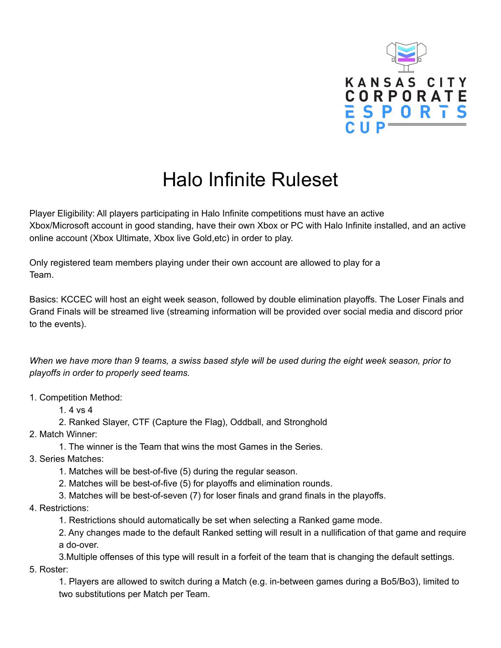

## Halo Infinite Ruleset

Player Eligibility: All players participating in Halo Infinite competitions must have an active Xbox/Microsoft account in good standing, have their own Xbox or PC with Halo Infinite installed, and an active online account (Xbox Ultimate, Xbox live Gold,etc) in order to play.

Only registered team members playing under their own account are allowed to play for a Team.

Basics: KCCEC will host an eight week season, followed by double elimination playoffs. The Loser Finals and Grand Finals will be streamed live (streaming information will be provided over social media and discord prior to the events).

When we have more than 9 teams, a swiss based style will be used during the eight week season, prior to *playoffs in order to properly seed teams.*

1. Competition Method:

1. 4 vs 4

- 2. Ranked Slayer, CTF (Capture the Flag), Oddball, and Stronghold
- 2. Match Winner:
	- 1. The winner is the Team that wins the most Games in the Series.
- 3. Series Matches:
	- 1. Matches will be best-of-five (5) during the regular season.
	- 2. Matches will be best-of-five (5) for playoffs and elimination rounds.
	- 3. Matches will be best-of-seven (7) for loser finals and grand finals in the playoffs.
- 4. Restrictions:
	- 1. Restrictions should automatically be set when selecting a Ranked game mode.
	- 2. Any changes made to the default Ranked setting will result in a nullification of that game and require a do-over.
	- 3.Multiple offenses of this type will result in a forfeit of the team that is changing the default settings.
- 5. Roster:

1. Players are allowed to switch during a Match (e.g. in-between games during a Bo5/Bo3), limited to two substitutions per Match per Team.